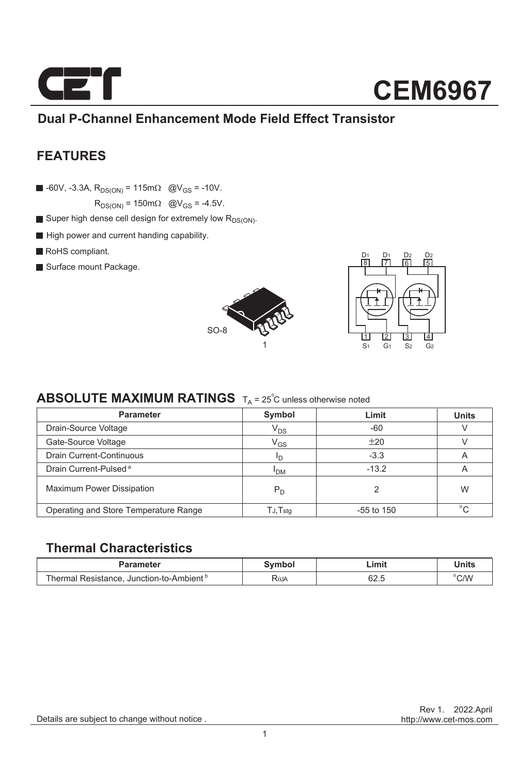

### **Dual P-Channel Enhancement Mode Field Effect Transistor**

### **FEATURES**

 $\blacksquare$  -60V, -3.3A, R<sub>DS(ON)</sub> = 115m $\Omega$  @V<sub>GS</sub> = -10V.

 $R_{DS(ON)} = 150 \text{m}\Omega$  @V<sub>GS</sub> = -4.5V.

- Super high dense cell design for extremely low  $R_{DS(ON)}$ .
- High power and current handing capability.
- RoHS compliant.
- Surface mount Package.





### **ABSOLUTE MAXIMUM RATINGS**  $T_A = 25^\circ C$  unless otherwise noted

| <b>Parameter</b>                      | Symbol                     | Limit        | <b>Units</b> |
|---------------------------------------|----------------------------|--------------|--------------|
| Drain-Source Voltage                  | V <sub>DS</sub>            | $-60$        |              |
| Gate-Source Voltage                   | $\mathsf{V}_{\mathsf{GS}}$ | ±20          |              |
| Drain Current-Continuous              | חי                         | $-3.3$       | A            |
| Drain Current-Pulsed <sup>a</sup>     | <sup>I</sup> DM            | $-13.2$      | A            |
| <b>Maximum Power Dissipation</b>      | $P_D$                      |              | W            |
| Operating and Store Temperature Range | $T$ J, $T$ stq             | $-55$ to 150 | $^{\circ}$   |

#### **Thermal Characteristics**

| Parameter                                            | Svmbol | Limit        | Units |
|------------------------------------------------------|--------|--------------|-------|
| Thermal Resistance. Junction-to-Ambient <sup>b</sup> | RθJA   | en E<br>0Z.C | C/W   |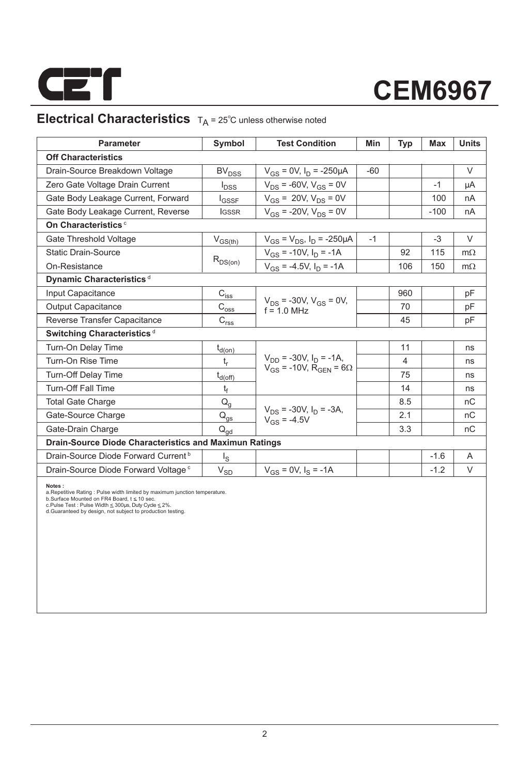

### **Electrical Characteristics**  $T_A = 25^\circ$ C unless otherwise noted

| <b>Parameter</b>                                              | Symbol                                                                | <b>Test Condition</b>                             | Min   | <b>Typ</b> | Max    | <b>Units</b> |  |  |
|---------------------------------------------------------------|-----------------------------------------------------------------------|---------------------------------------------------|-------|------------|--------|--------------|--|--|
| <b>Off Characteristics</b>                                    |                                                                       |                                                   |       |            |        |              |  |  |
| Drain-Source Breakdown Voltage                                | BV <sub>DSS</sub>                                                     | $V_{GS}$ = 0V, $I_D$ = -250µA                     | $-60$ |            |        | $\vee$       |  |  |
| Zero Gate Voltage Drain Current                               | $I_{DSS}$                                                             | $V_{DS}$ = -60V, $V_{GS}$ = 0V                    |       |            | $-1$   | μA           |  |  |
| Gate Body Leakage Current, Forward                            | l <sub>GSSF</sub>                                                     | $V_{GS}$ = 20V, $V_{DS}$ = 0V                     |       |            | 100    | nA           |  |  |
| Gate Body Leakage Current, Reverse                            | <b>IGSSR</b>                                                          | $V_{GS}$ = -20V, $V_{DS}$ = 0V                    |       |            | $-100$ | nA           |  |  |
| On Characteristics <sup>c</sup>                               |                                                                       |                                                   |       |            |        |              |  |  |
| Gate Threshold Voltage                                        | $V_{GS(th)}$                                                          | $V_{GS} = V_{DS}$ , $I_D = -250 \mu A$            | $-1$  |            | $-3$   | V            |  |  |
| <b>Static Drain-Source</b>                                    |                                                                       | $V_{GS}$ = -10V, $I_D$ = -1A                      |       | 92         | 115    | $m\Omega$    |  |  |
| On-Resistance                                                 | $R_{DS(on)}$                                                          | $V_{GS}$ = -4.5V, $I_D$ = -1A                     |       | 106        | 150    | $m\Omega$    |  |  |
| Dynamic Characteristics <sup>d</sup>                          |                                                                       |                                                   |       |            |        |              |  |  |
| Input Capacitance                                             | $C_{i\underline{s}\underline{s}}$                                     |                                                   |       | 960        |        | рF           |  |  |
| <b>Output Capacitance</b>                                     | $\mathsf{C}_{\text{oss}}$                                             | $V_{DS}$ = -30V, $V_{GS}$ = 0V,<br>$f = 1.0$ MHz  |       | 70         |        | pF           |  |  |
| Reverse Transfer Capacitance                                  | $\mathsf{C}_{\mathsf{r}\underline{\mathsf{s}}\underline{\mathsf{s}}}$ |                                                   |       | 45         |        | рF           |  |  |
| Switching Characteristics <sup>d</sup>                        |                                                                       |                                                   |       |            |        |              |  |  |
| Turn-On Delay Time                                            | $t_{d(0n)}$                                                           |                                                   |       | 11         |        | ns           |  |  |
| Turn-On Rise Time                                             | t,                                                                    | $V_{DD}$ = -30V, $I_D$ = -1A,                     |       | 4          |        | ns           |  |  |
| Turn-Off Delay Time                                           | $t_{d(\text{off})}$                                                   | $V_{GS}$ = -10V, R <sub>GEN</sub> = 6 $\Omega$    |       | 75         |        | ns           |  |  |
| Turn-Off Fall Time                                            | t <sub>f</sub>                                                        |                                                   |       | 14         |        | ns           |  |  |
| <b>Total Gate Charge</b>                                      | $Q_q$                                                                 |                                                   |       | 8.5        |        | nC           |  |  |
| Gate-Source Charge                                            | $\mathsf{Q}_{\underline{\mathsf{q}\mathsf{s}}}$                       | $V_{DS}$ = -30V, $I_D$ = -3A,<br>$V_{GS} = -4.5V$ |       | 2.1        |        | nC           |  |  |
| Gate-Drain Charge                                             | $Q_{\text{ad}}$                                                       |                                                   |       | 3.3        |        | nС           |  |  |
| <b>Drain-Source Diode Characteristics and Maximun Ratings</b> |                                                                       |                                                   |       |            |        |              |  |  |
| Drain-Source Diode Forward Current <sup>b</sup>               | اج                                                                    |                                                   |       |            | $-1.6$ | A            |  |  |
| Drain-Source Diode Forward Voltage <sup>c</sup>               | $\mathsf{V}_{\mathsf{S}\underline{\mathsf{D}}}$                       | $V_{GS} = 0V$ , $I_S = -1A$                       |       |            | $-1.2$ | V            |  |  |
|                                                               |                                                                       |                                                   |       |            |        |              |  |  |

**Notes :**<br>a.Repetitive Rating : Pulse width limited by maximum junction temperature.<br>b.Surface Mounted on FR4 Board, t ≤ 10 sec.<br>c.Pulse Test : Pulse Width ≤ 300µs, Duty Cyde ≤ 2%.<br>d.Guaranteed by design, not subject to p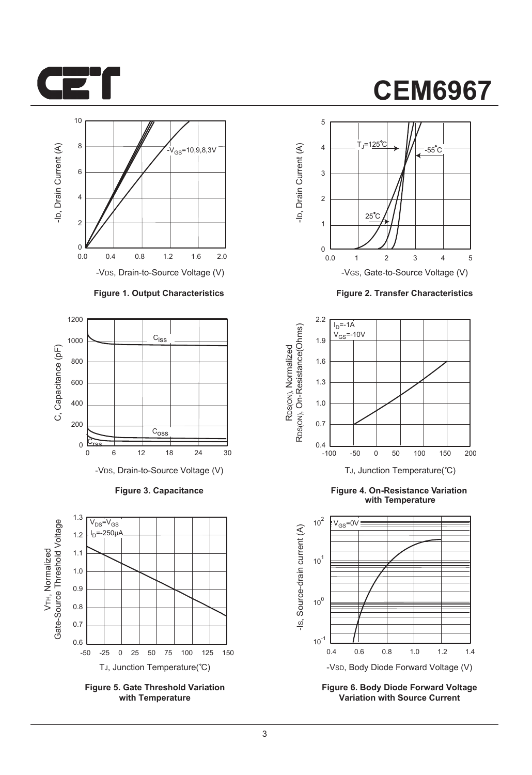



#### **Figure 1. Output Characteristics**



**Figure 3. Capacitance**



**Figure 5. Gate Threshold Variation with Temperature**

# **CEM6967**



**Figure 2. Transfer Characteristics**



**Figure 4. On-Resistance Variation with Temperature**



**Figure 6. Body Diode Forward Voltage Variation with Source Current**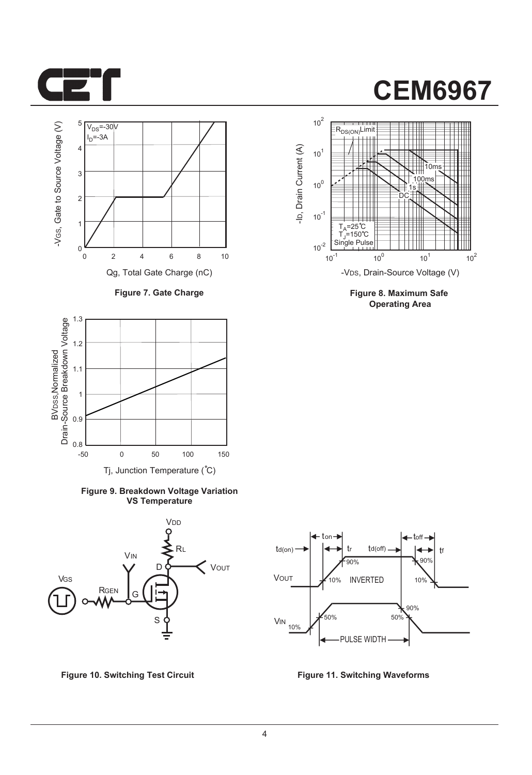



**Figure 7. Gate Charge**



**Figure 9. Breakdown Voltage Variation VS Temperature**





**Figure 8. Maximum Safe Operating Area**



**Figure 10. Switching Test Circuit Figure 11. Switching Waveforms**